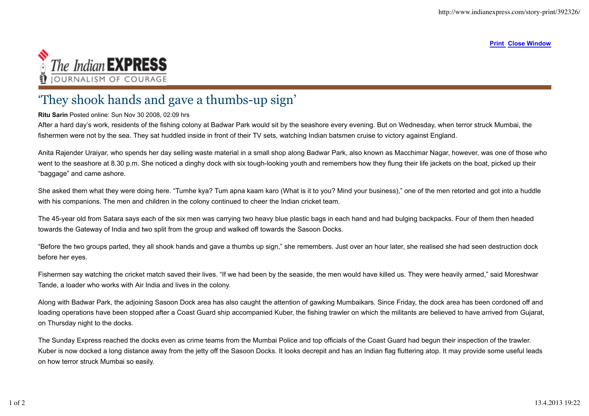**Print Close Window**



## 'They shook hands and gave a thumbs-up sign'

## **Ritu Sarin** Posted online: Sun Nov 30 2008, 02:09 hrs

After a hard day's work, residents of the fishing colony at Badwar Park would sit by the seashore every evening. But on Wednesday, when terror struck Mumbai, the fishermen were not by the sea. They sat huddled inside in front of their TV sets, watching Indian batsmen cruise to victory against England.

Anita Rajender Uraiyar, who spends her day selling waste material in a small shop along Badwar Park, also known as Macchimar Nagar, however, was one of those who went to the seashore at 8.30 p.m. She noticed a dinghy dock with six tough-looking youth and remembers how they flung their life jackets on the boat, picked up their "baggage" and came ashore.

She asked them what they were doing here. "Tumhe kya? Tum apna kaam karo (What is it to you? Mind your business)," one of the men retorted and got into a huddle with his companions. The men and children in the colony continued to cheer the Indian cricket team.

The 45-year old from Satara says each of the six men was carrying two heavy blue plastic bags in each hand and had bulging backpacks. Four of them then headed towards the Gateway of India and two split from the group and walked off towards the Sasoon Docks.

"Before the two groups parted, they all shook hands and gave a thumbs up sign," she remembers. Just over an hour later, she realised she had seen destruction dock before her eyes.

Fishermen say watching the cricket match saved their lives. "If we had been by the seaside, the men would have killed us. They were heavily armed," said Moreshwar Tande, a loader who works with Air India and lives in the colony.

Along with Badwar Park, the adjoining Sasoon Dock area has also caught the attention of gawking Mumbaikars. Since Friday, the dock area has been cordoned off and loading operations have been stopped after a Coast Guard ship accompanied Kuber, the fishing trawler on which the militants are believed to have arrived from Gujarat, on Thursday night to the docks.

The Sunday Express reached the docks even as crime teams from the Mumbai Police and top officials of the Coast Guard had begun their inspection of the trawler. Kuber is now docked a long distance away from the jetty off the Sasoon Docks. It looks decrepit and has an Indian flag fluttering atop. It may provide some useful leads on how terror struck Mumbai so easily.